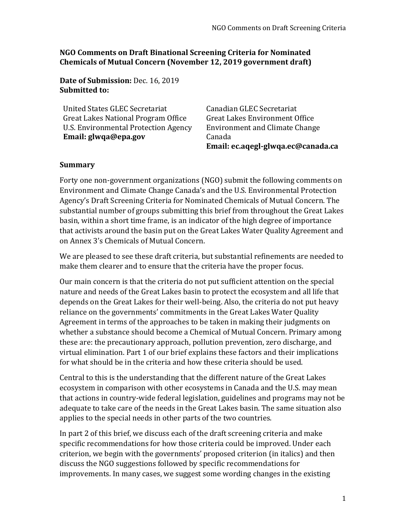**NGO Comments on Draft Binational Screening Criteria for Nominated Chemicals of Mutual Concern (November 12, 2019 government draft)**

**Date of Submission:** Dec. 16, 2019 **Submitted to:**

United States GLEC Secretariat Great Lakes National Program Office U.S. Environmental Protection Agency **Email: glwqa@epa.gov** Canadian GLEC Secretariat Great Lakes Environment Office Environment and Climate Change Canada **Email: ec.aqegl-glwqa.ec@canada.ca**

#### **Summary**

Forty one non-government organizations (NGO) submit the following comments on Environment and Climate Change Canada's and the U.S. Environmental Protection Agency's Draft Screening Criteria for Nominated Chemicals of Mutual Concern. The substantial number of groups submitting this brief from throughout the Great Lakes basin, within a short time frame, is an indicator of the high degree of importance that activists around the basin put on the Great Lakes Water Quality Agreement and on Annex 3's Chemicals of Mutual Concern.

We are pleased to see these draft criteria, but substantial refinements are needed to make them clearer and to ensure that the criteria have the proper focus.

Our main concern is that the criteria do not put sufficient attention on the special nature and needs of the Great Lakes basin to protect the ecosystem and all life that depends on the Great Lakes for their well-being. Also, the criteria do not put heavy reliance on the governments' commitments in the Great Lakes Water Quality Agreement in terms of the approaches to be taken in making their judgments on whether a substance should become a Chemical of Mutual Concern. Primary among these are: the precautionary approach, pollution prevention, zero discharge, and virtual elimination. Part 1 of our brief explains these factors and their implications for what should be in the criteria and how these criteria should be used.

Central to this is the understanding that the different nature of the Great Lakes ecosystem in comparison with other ecosystems in Canada and the U.S. may mean that actions in country-wide federal legislation, guidelines and programs may not be adequate to take care of the needs in the Great Lakes basin. The same situation also applies to the special needs in other parts of the two countries.

In part 2 of this brief, we discuss each of the draft screening criteria and make specific recommendations for how those criteria could be improved. Under each criterion, we begin with the governments' proposed criterion (in italics) and then discuss the NGO suggestions followed by specific recommendations for improvements. In many cases, we suggest some wording changes in the existing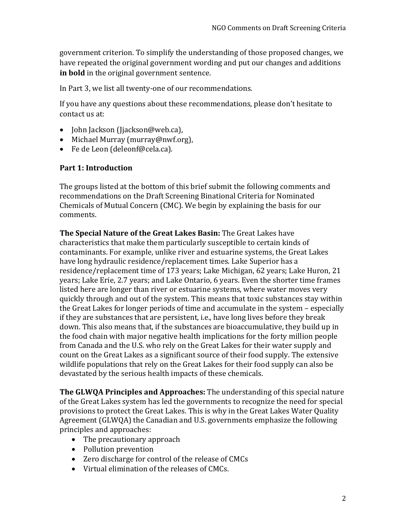government criterion. To simplify the understanding of those proposed changes, we have repeated the original government wording and put our changes and additions **in bold** in the original government sentence.

In Part 3, we list all twenty-one of our recommendations.

If you have any questions about these recommendations, please don't hesitate to contact us at:

- John Jackson (Jjackson@web.ca),
- Michael Murray (murray@nwf.org),
- Fe de Leon (deleonf@cela.ca).

#### **Part 1: Introduction**

The groups listed at the bottom of this brief submit the following comments and recommendations on the Draft Screening Binational Criteria for Nominated Chemicals of Mutual Concern (CMC). We begin by explaining the basis for our comments.

**The Special Nature of the Great Lakes Basin:** The Great Lakes have characteristics that make them particularly susceptible to certain kinds of contaminants. For example, unlike river and estuarine systems, the Great Lakes have long hydraulic residence/replacement times. Lake Superior has a residence/replacement time of 173 years; Lake Michigan, 62 years; Lake Huron, 21 years; Lake Erie, 2.7 years; and Lake Ontario, 6 years. Even the shorter time frames listed here are longer than river or estuarine systems, where water moves very quickly through and out of the system. This means that toxic substances stay within the Great Lakes for longer periods of time and accumulate in the system – especially if they are substances that are persistent, i.e., have long lives before they break down. This also means that, if the substances are bioaccumulative, they build up in the food chain with major negative health implications for the forty million people from Canada and the U.S. who rely on the Great Lakes for their water supply and count on the Great Lakes as a significant source of their food supply. The extensive wildlife populations that rely on the Great Lakes for their food supply can also be devastated by the serious health impacts of these chemicals.

**The GLWQA Principles and Approaches:** The understanding of this special nature of the Great Lakes system has led the governments to recognize the need for special provisions to protect the Great Lakes. This is why in the Great Lakes Water Quality Agreement (GLWQA) the Canadian and U.S. governments emphasize the following principles and approaches:

- The precautionary approach
- Pollution prevention
- Zero discharge for control of the release of CMCs
- Virtual elimination of the releases of CMCs.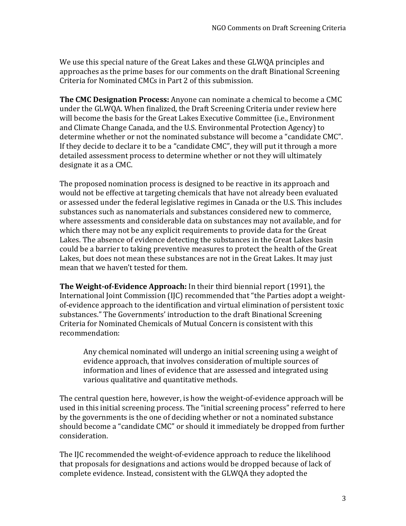We use this special nature of the Great Lakes and these GLWQA principles and approaches as the prime bases for our comments on the draft Binational Screening Criteria for Nominated CMCs in Part 2 of this submission.

**The CMC Designation Process:** Anyone can nominate a chemical to become a CMC under the GLWQA. When finalized, the Draft Screening Criteria under review here will become the basis for the Great Lakes Executive Committee (i.e., Environment and Climate Change Canada, and the U.S. Environmental Protection Agency) to determine whether or not the nominated substance will become a "candidate CMC". If they decide to declare it to be a "candidate CMC", they will put it through a more detailed assessment process to determine whether or not they will ultimately designate it as a CMC.

The proposed nomination process is designed to be reactive in its approach and would not be effective at targeting chemicals that have not already been evaluated or assessed under the federal legislative regimes in Canada or the U.S. This includes substances such as nanomaterials and substances considered new to commerce, where assessments and considerable data on substances may not available, and for which there may not be any explicit requirements to provide data for the Great Lakes. The absence of evidence detecting the substances in the Great Lakes basin could be a barrier to taking preventive measures to protect the health of the Great Lakes, but does not mean these substances are not in the Great Lakes. It may just mean that we haven't tested for them.

**The Weight-of-Evidence Approach:** In their third biennial report (1991), the International Joint Commission (IJC) recommended that "the Parties adopt a weightof-evidence approach to the identification and virtual elimination of persistent toxic substances." The Governments' introduction to the draft Binational Screening Criteria for Nominated Chemicals of Mutual Concern is consistent with this recommendation:

Any chemical nominated will undergo an initial screening using a weight of evidence approach, that involves consideration of multiple sources of information and lines of evidence that are assessed and integrated using various qualitative and quantitative methods.

The central question here, however, is how the weight-of-evidence approach will be used in this initial screening process. The "initial screening process" referred to here by the governments is the one of deciding whether or not a nominated substance should become a "candidate CMC" or should it immediately be dropped from further consideration.

The IJC recommended the weight-of-evidence approach to reduce the likelihood that proposals for designations and actions would be dropped because of lack of complete evidence. Instead, consistent with the GLWQA they adopted the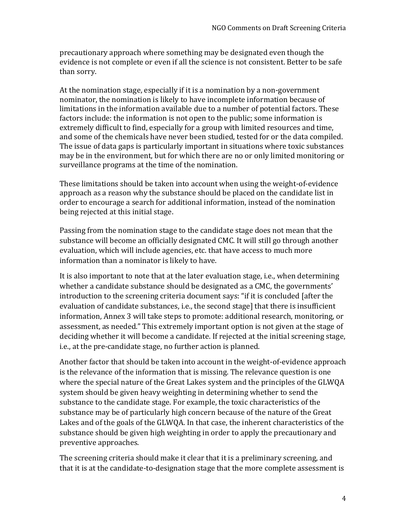precautionary approach where something may be designated even though the evidence is not complete or even if all the science is not consistent. Better to be safe than sorry.

At the nomination stage, especially if it is a nomination by a non-government nominator, the nomination is likely to have incomplete information because of limitations in the information available due to a number of potential factors. These factors include: the information is not open to the public; some information is extremely difficult to find, especially for a group with limited resources and time, and some of the chemicals have never been studied, tested for or the data compiled. The issue of data gaps is particularly important in situations where toxic substances may be in the environment, but for which there are no or only limited monitoring or surveillance programs at the time of the nomination.

These limitations should be taken into account when using the weight-of-evidence approach as a reason why the substance should be placed on the candidate list in order to encourage a search for additional information, instead of the nomination being rejected at this initial stage.

Passing from the nomination stage to the candidate stage does not mean that the substance will become an officially designated CMC. It will still go through another evaluation, which will include agencies, etc. that have access to much more information than a nominator is likely to have.

It is also important to note that at the later evaluation stage, i.e., when determining whether a candidate substance should be designated as a CMC, the governments' introduction to the screening criteria document says: "if it is concluded [after the evaluation of candidate substances, i.e., the second stage] that there is insufficient information, Annex 3 will take steps to promote: additional research, monitoring, or assessment, as needed." This extremely important option is not given at the stage of deciding whether it will become a candidate. If rejected at the initial screening stage, i.e., at the pre-candidate stage, no further action is planned.

Another factor that should be taken into account in the weight-of-evidence approach is the relevance of the information that is missing. The relevance question is one where the special nature of the Great Lakes system and the principles of the GLWQA system should be given heavy weighting in determining whether to send the substance to the candidate stage. For example, the toxic characteristics of the substance may be of particularly high concern because of the nature of the Great Lakes and of the goals of the GLWQA. In that case, the inherent characteristics of the substance should be given high weighting in order to apply the precautionary and preventive approaches.

The screening criteria should make it clear that it is a preliminary screening, and that it is at the candidate-to-designation stage that the more complete assessment is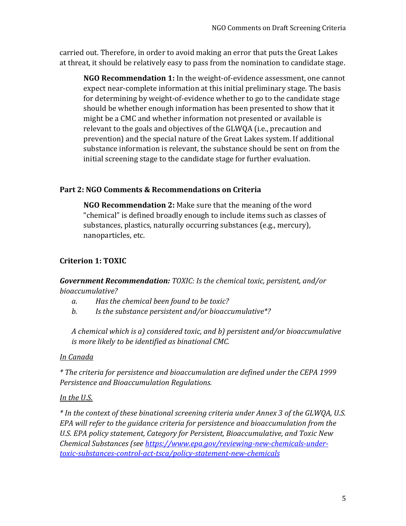carried out. Therefore, in order to avoid making an error that puts the Great Lakes at threat, it should be relatively easy to pass from the nomination to candidate stage.

**NGO Recommendation 1:** In the weight-of-evidence assessment, one cannot expect near-complete information at this initial preliminary stage. The basis for determining by weight-of-evidence whether to go to the candidate stage should be whether enough information has been presented to show that it might be a CMC and whether information not presented or available is relevant to the goals and objectives of the GLWQA (i.e., precaution and prevention) and the special nature of the Great Lakes system. If additional substance information is relevant, the substance should be sent on from the initial screening stage to the candidate stage for further evaluation.

# **Part 2: NGO Comments & Recommendations on Criteria**

**NGO Recommendation 2:** Make sure that the meaning of the word "chemical" is defined broadly enough to include items such as classes of substances, plastics, naturally occurring substances (e.g., mercury), nanoparticles, etc.

# **Criterion 1: TOXIC**

*Government Recommendation: TOXIC: Is the chemical toxic, persistent, and/or bioaccumulative?*

- *a. Has the chemical been found to be toxic?*
- *b. Is the substance persistent and/or bioaccumulative\*?*

*A chemical which is a) considered toxic, and b) persistent and/or bioaccumulative is more likely to be identified as binational CMC.* 

# *In Canada*

*\* The criteria for persistence and bioaccumulation are defined under the CEPA 1999 Persistence and Bioaccumulation Regulations.*

# *In the U.S.*

*\* In the context of these binational screening criteria under Annex 3 of the GLWQA, U.S. EPA will refer to the guidance criteria for persistence and bioaccumulation from the U.S. EPA policy statement, Category for Persistent, Bioaccumulative, and Toxic New Chemical Substances (see [https://www.epa.gov/reviewing-new-chemicals-under](https://www.epa.gov/reviewing-new-chemicals-under-toxic-substances-control-act-tsca/policy-statement-new-chemicals)[toxic-substances-control-act-tsca/policy-statement-new-chemicals](https://www.epa.gov/reviewing-new-chemicals-under-toxic-substances-control-act-tsca/policy-statement-new-chemicals)*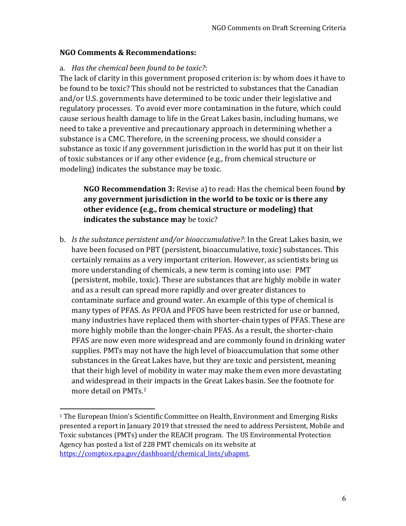#### **NGO Comments & Recommendations:**

 $\overline{\phantom{0}}$ 

#### a. *Has the chemical been found to be toxic?*:

The lack of clarity in this government proposed criterion is: by whom does it have to be found to be toxic? This should not be restricted to substances that the Canadian and/or U.S. governments have determined to be toxic under their legislative and regulatory processes. To avoid ever more contamination in the future, which could cause serious health damage to life in the Great Lakes basin, including humans, we need to take a preventive and precautionary approach in determining whether a substance is a CMC. Therefore, in the screening process, we should consider a substance as toxic if any government jurisdiction in the world has put it on their list of toxic substances or if any other evidence (e.g., from chemical structure or modeling) indicates the substance may be toxic.

**NGO Recommendation 3:** Revise a) to read: Has the chemical been found **by any government jurisdiction in the world to be toxic or is there any other evidence (e.g., from chemical structure or modeling) that indicates the substance may** be toxic?

b. *Is the substance persistent and/or bioaccumulative?*: In the Great Lakes basin, we have been focused on PBT (persistent, bioaccumulative, toxic) substances. This certainly remains as a very important criterion. However, as scientists bring us more understanding of chemicals, a new term is coming into use: PMT (persistent, mobile, toxic). These are substances that are highly mobile in water and as a result can spread more rapidly and over greater distances to contaminate surface and ground water. An example of this type of chemical is many types of PFAS. As PFOA and PFOS have been restricted for use or banned, many industries have replaced them with shorter-chain types of PFAS. These are more highly mobile than the longer-chain PFAS. As a result, the shorter-chain PFAS are now even more widespread and are commonly found in drinking water supplies. PMTs may not have the high level of bioaccumulation that some other substances in the Great Lakes have, but they are toxic and persistent, meaning that their high level of mobility in water may make them even more devastating and widespread in their impacts in the Great Lakes basin. See the footnote for more detail on PMTs.<sup>1</sup>

<sup>&</sup>lt;sup>1</sup> The European Union's Scientific Committee on Health, Environment and Emerging Risks presented a report in January 2019 that stressed the need to address Persistent, Mobile and Toxic substances (PMTs) under the REACH program. The US Environmental Protection Agency has posted a list of 228 PMT chemicals on its website at [https://comptox.epa.gov/dashboard/chemical\\_lists/ubapmt.](https://comptox.epa.gov/dashboard/chemical_lists/ubapmt)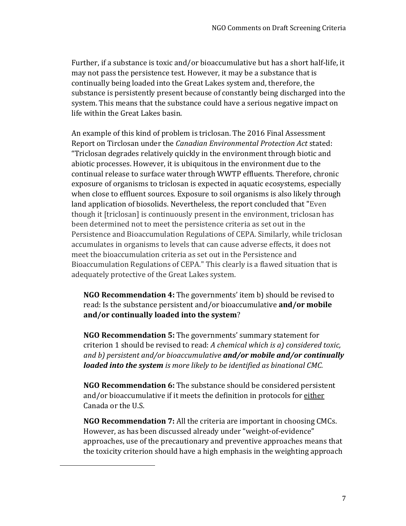Further, if a substance is toxic and/or bioaccumulative but has a short half-life, it may not pass the persistence test. However, it may be a substance that is continually being loaded into the Great Lakes system and, therefore, the substance is persistently present because of constantly being discharged into the system. This means that the substance could have a serious negative impact on life within the Great Lakes basin.

An example of this kind of problem is triclosan. The 2016 Final Assessment Report on Tirclosan under the *Canadian Environmental Protection Act* stated: "Triclosan degrades relatively quickly in the environment through biotic and abiotic processes. However, it is ubiquitous in the environment due to the continual release to surface water through WWTP effluents. Therefore, chronic exposure of organisms to triclosan is expected in aquatic ecosystems, especially when close to effluent sources. Exposure to soil organisms is also likely through land application of biosolids. Nevertheless, the report concluded that "Even though it [triclosan] is continuously present in the environment, triclosan has been determined not to meet the persistence criteria as set out in the Persistence and Bioaccumulation Regulations of CEPA. Similarly, while triclosan accumulates in organisms to levels that can cause adverse effects, it does not meet the bioaccumulation criteria as set out in the Persistence and Bioaccumulation Regulations of CEPA." This clearly is a flawed situation that is adequately protective of the Great Lakes system.

**NGO Recommendation 4:** The governments' item b) should be revised to read: Is the substance persistent and/or bioaccumulative **and/or mobile and/or continually loaded into the system**?

**NGO Recommendation 5:** The governments' summary statement for criterion 1 should be revised to read: *A chemical which is a) considered toxic, and b) persistent and/or bioaccumulative and/or mobile and/or continually loaded into the system is more likely to be identified as binational CMC.* 

**NGO Recommendation 6:** The substance should be considered persistent and/or bioaccumulative if it meets the definition in protocols for either Canada or the U.S.

**NGO Recommendation 7:** All the criteria are important in choosing CMCs. However, as has been discussed already under "weight-of-evidence" approaches, use of the precautionary and preventive approaches means that the toxicity criterion should have a high emphasis in the weighting approach

 $\overline{\phantom{0}}$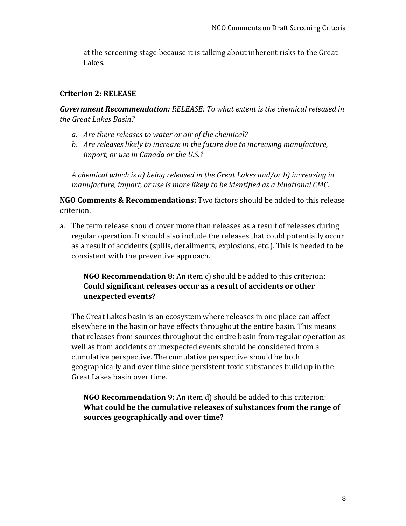at the screening stage because it is talking about inherent risks to the Great Lakes.

#### **Criterion 2: RELEASE**

*Government Recommendation: RELEASE: To what extent is the chemical released in the Great Lakes Basin?*

- *a. Are there releases to water or air of the chemical?*
- *b. Are releases likely to increase in the future due to increasing manufacture, import, or use in Canada or the U.S.?*

*A chemical which is a) being released in the Great Lakes and/or b) increasing in manufacture, import, or use is more likely to be identified as a binational CMC.* 

**NGO Comments & Recommendations:** Two factors should be added to this release criterion.

a. The term release should cover more than releases as a result of releases during regular operation. It should also include the releases that could potentially occur as a result of accidents (spills, derailments, explosions, etc.). This is needed to be consistent with the preventive approach.

## **NGO Recommendation 8:** An item c) should be added to this criterion: **Could significant releases occur as a result of accidents or other unexpected events?**

The Great Lakes basin is an ecosystem where releases in one place can affect elsewhere in the basin or have effects throughout the entire basin. This means that releases from sources throughout the entire basin from regular operation as well as from accidents or unexpected events should be considered from a cumulative perspective. The cumulative perspective should be both geographically and over time since persistent toxic substances build up in the Great Lakes basin over time.

**NGO Recommendation 9:** An item d) should be added to this criterion: **What could be the cumulative releases of substances from the range of sources geographically and over time?**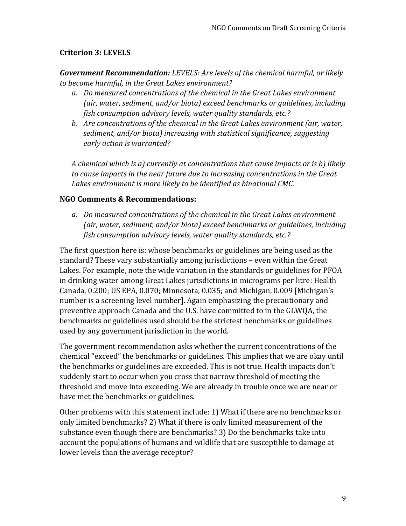# **Criterion 3: LEVELS**

*Government Recommendation: LEVELS: Are levels of the chemical harmful, or likely to become harmful, in the Great Lakes environment?*

- *a. Do measured concentrations of the chemical in the Great Lakes environment (air, water, sediment, and/or biota) exceed benchmarks or guidelines, including fish consumption advisory levels, water quality standards, etc.?*
- *b. Are concentrations of the chemical in the Great Lakes environment (air, water, sediment, and/or biota) increasing with statistical significance, suggesting early action is warranted?*

*A chemical which is a) currently at concentrations that cause impacts or is b) likely to cause impacts in the near future due to increasing concentrations in the Great Lakes environment is more likely to be identified as binational CMC.* 

#### **NGO Comments & Recommendations:**

*a. Do measured concentrations of the chemical in the Great Lakes environment (air, water, sediment, and/or biota) exceed benchmarks or guidelines, including fish consumption advisory levels, water quality standards, etc.?* 

The first question here is: whose benchmarks or guidelines are being used as the standard? These vary substantially among jurisdictions – even within the Great Lakes. For example, note the wide variation in the standards or guidelines for PFOA in drinking water among Great Lakes jurisdictions in micrograms per litre: Health Canada, 0.200; US EPA, 0.070; Minnesota, 0.035; and Michigan, 0.009 [Michigan's number is a screening level number]. Again emphasizing the precautionary and preventive approach Canada and the U.S. have committed to in the GLWQA, the benchmarks or guidelines used should be the strictest benchmarks or guidelines used by any government jurisdiction in the world.

The government recommendation asks whether the current concentrations of the chemical "exceed" the benchmarks or guidelines. This implies that we are okay until the benchmarks or guidelines are exceeded. This is not true. Health impacts don't suddenly start to occur when you cross that narrow threshold of meeting the threshold and move into exceeding. We are already in trouble once we are near or have met the benchmarks or guidelines.

Other problems with this statement include: 1) What if there are no benchmarks or only limited benchmarks? 2) What if there is only limited measurement of the substance even though there are benchmarks? 3) Do the benchmarks take into account the populations of humans and wildlife that are susceptible to damage at lower levels than the average receptor?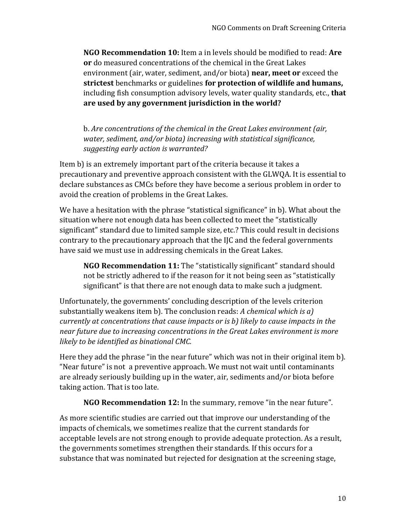**NGO Recommendation 10:** Item a in levels should be modified to read: **Are or** do measured concentrations of the chemical in the Great Lakes environment (air, water, sediment, and/or biota) **near, meet or** exceed the **strictest** benchmarks or guidelines **for protection of wildlife and humans,** including fish consumption advisory levels, water quality standards, etc., **that are used by any government jurisdiction in the world?** 

b. *Are concentrations of the chemical in the Great Lakes environment (air, water, sediment, and/or biota) increasing with statistical significance, suggesting early action is warranted?*

Item b) is an extremely important part of the criteria because it takes a precautionary and preventive approach consistent with the GLWQA. It is essential to declare substances as CMCs before they have become a serious problem in order to avoid the creation of problems in the Great Lakes.

We have a hesitation with the phrase "statistical significance" in b). What about the situation where not enough data has been collected to meet the "statistically significant" standard due to limited sample size, etc.? This could result in decisions contrary to the precautionary approach that the IJC and the federal governments have said we must use in addressing chemicals in the Great Lakes.

**NGO Recommendation 11:** The "statistically significant" standard should not be strictly adhered to if the reason for it not being seen as "statistically significant" is that there are not enough data to make such a judgment.

Unfortunately, the governments' concluding description of the levels criterion substantially weakens item b). The conclusion reads: *A chemical which is a) currently at concentrations that cause impacts or is b) likely to cause impacts in the near future due to increasing concentrations in the Great Lakes environment is more likely to be identified as binational CMC.* 

Here they add the phrase "in the near future" which was not in their original item b). "Near future" is not a preventive approach. We must not wait until contaminants are already seriously building up in the water, air, sediments and/or biota before taking action. That is too late.

**NGO Recommendation 12:** In the summary, remove "in the near future".

As more scientific studies are carried out that improve our understanding of the impacts of chemicals, we sometimes realize that the current standards for acceptable levels are not strong enough to provide adequate protection. As a result, the governments sometimes strengthen their standards. If this occurs for a substance that was nominated but rejected for designation at the screening stage,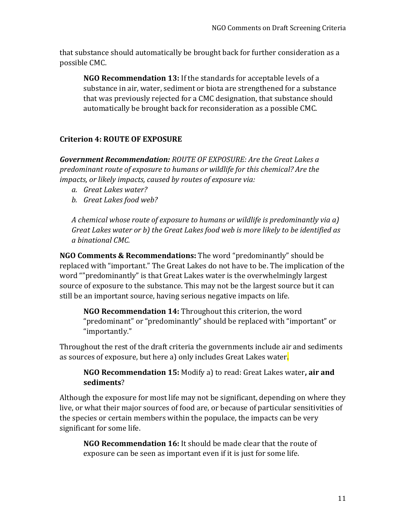that substance should automatically be brought back for further consideration as a possible CMC.

**NGO Recommendation 13:** If the standards for acceptable levels of a substance in air, water, sediment or biota are strengthened for a substance that was previously rejected for a CMC designation, that substance should automatically be brought back for reconsideration as a possible CMC.

# **Criterion 4: ROUTE OF EXPOSURE**

*Government Recommendation: ROUTE OF EXPOSURE: Are the Great Lakes a predominant route of exposure to humans or wildlife for this chemical? Are the impacts, or likely impacts, caused by routes of exposure via:*

- *a. Great Lakes water?*
- *b. Great Lakes food web?*

*A chemical whose route of exposure to humans or wildlife is predominantly via a) Great Lakes water or b) the Great Lakes food web is more likely to be identified as a binational CMC.*

**NGO Comments & Recommendations:** The word "predominantly" should be replaced with "important." The Great Lakes do not have to be. The implication of the word ""predominantly" is that Great Lakes water is the overwhelmingly largest source of exposure to the substance. This may not be the largest source but it can still be an important source, having serious negative impacts on life.

**NGO Recommendation 14:** Throughout this criterion, the word "predominant" or "predominantly" should be replaced with "important" or "importantly."

Throughout the rest of the draft criteria the governments include air and sediments as sources of exposure, but here a) only includes Great Lakes water.

**NGO Recommendation 15:** Modify a) to read: Great Lakes water**, air and sediments**?

Although the exposure for most life may not be significant, depending on where they live, or what their major sources of food are, or because of particular sensitivities of the species or certain members within the populace, the impacts can be very significant for some life.

**NGO Recommendation 16:** It should be made clear that the route of exposure can be seen as important even if it is just for some life.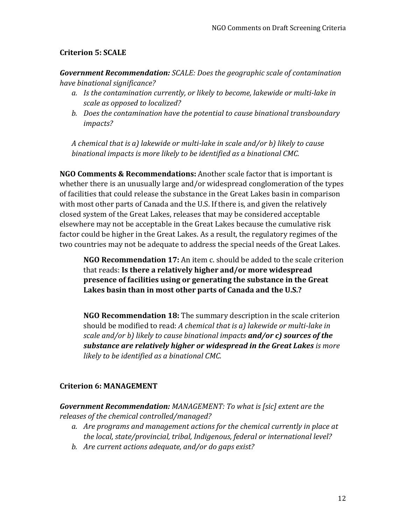# **Criterion 5: SCALE**

*Government Recommendation: SCALE: Does the geographic scale of contamination have binational significance?*

- *a. Is the contamination currently, or likely to become, lakewide or multi-lake in scale as opposed to localized?*
- *b. Does the contamination have the potential to cause binational transboundary impacts?*

*A chemical that is a) lakewide or multi-lake in scale and/or b) likely to cause binational impacts is more likely to be identified as a binational CMC.*

**NGO Comments & Recommendations:** Another scale factor that is important is whether there is an unusually large and/or widespread conglomeration of the types of facilities that could release the substance in the Great Lakes basin in comparison with most other parts of Canada and the U.S. If there is, and given the relatively closed system of the Great Lakes, releases that may be considered acceptable elsewhere may not be acceptable in the Great Lakes because the cumulative risk factor could be higher in the Great Lakes. As a result, the regulatory regimes of the two countries may not be adequate to address the special needs of the Great Lakes.

**NGO Recommendation 17:** An item c. should be added to the scale criterion that reads: **Is there a relatively higher and/or more widespread presence of facilities using or generating the substance in the Great Lakes basin than in most other parts of Canada and the U.S.?**

**NGO Recommendation 18:** The summary description in the scale criterion should be modified to read: *A chemical that is a) lakewide or multi-lake in scale and/or b) likely to cause binational impacts and/or c) sources of the substance are relatively higher or widespread in the Great Lakes is more likely to be identified as a binational CMC.*

## **Criterion 6: MANAGEMENT**

*Government Recommendation: MANAGEMENT: To what is [sic] extent are the releases of the chemical controlled/managed?*

- *a. Are programs and management actions for the chemical currently in place at the local, state/provincial, tribal, Indigenous, federal or international level?*
- *b. Are current actions adequate, and/or do gaps exist?*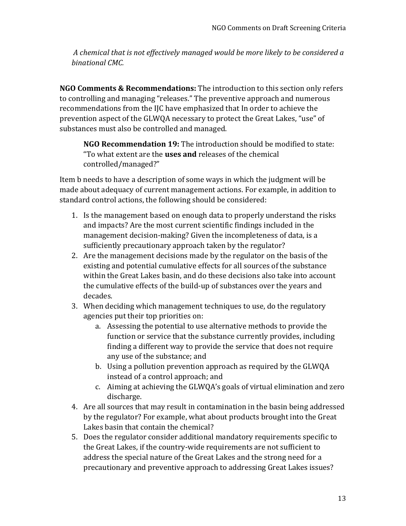*A chemical that is not effectively managed would be more likely to be considered a binational CMC.*

**NGO Comments & Recommendations:** The introduction to this section only refers to controlling and managing "releases." The preventive approach and numerous recommendations from the IJC have emphasized that In order to achieve the prevention aspect of the GLWQA necessary to protect the Great Lakes, "use" of substances must also be controlled and managed.

**NGO Recommendation 19:** The introduction should be modified to state: "To what extent are the **uses and** releases of the chemical controlled/managed?"

Item b needs to have a description of some ways in which the judgment will be made about adequacy of current management actions. For example, in addition to standard control actions, the following should be considered:

- 1. Is the management based on enough data to properly understand the risks and impacts? Are the most current scientific findings included in the management decision-making? Given the incompleteness of data, is a sufficiently precautionary approach taken by the regulator?
- 2. Are the management decisions made by the regulator on the basis of the existing and potential cumulative effects for all sources of the substance within the Great Lakes basin, and do these decisions also take into account the cumulative effects of the build-up of substances over the years and decades.
- 3. When deciding which management techniques to use, do the regulatory agencies put their top priorities on:
	- a. Assessing the potential to use alternative methods to provide the function or service that the substance currently provides, including finding a different way to provide the service that does not require any use of the substance; and
	- b. Using a pollution prevention approach as required by the GLWQA instead of a control approach; and
	- c. Aiming at achieving the GLWQA's goals of virtual elimination and zero discharge.
- 4. Are all sources that may result in contamination in the basin being addressed by the regulator? For example, what about products brought into the Great Lakes basin that contain the chemical?
- 5. Does the regulator consider additional mandatory requirements specific to the Great Lakes, if the country-wide requirements are not sufficient to address the special nature of the Great Lakes and the strong need for a precautionary and preventive approach to addressing Great Lakes issues?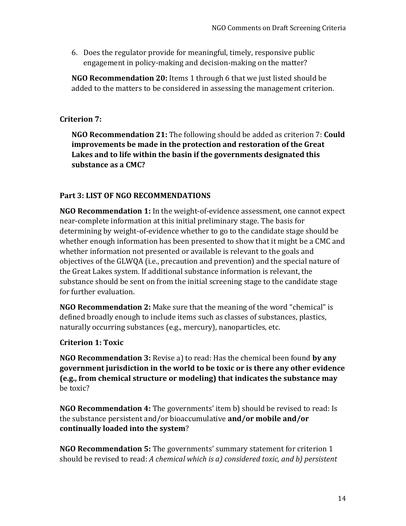6. Does the regulator provide for meaningful, timely, responsive public engagement in policy-making and decision-making on the matter?

**NGO Recommendation 20:** Items 1 through 6 that we just listed should be added to the matters to be considered in assessing the management criterion.

# **Criterion 7:**

**NGO Recommendation 21:** The following should be added as criterion 7: **Could improvements be made in the protection and restoration of the Great Lakes and to life within the basin if the governments designated this substance as a CMC?**

# **Part 3: LIST OF NGO RECOMMENDATIONS**

**NGO Recommendation 1:** In the weight-of-evidence assessment, one cannot expect near-complete information at this initial preliminary stage. The basis for determining by weight-of-evidence whether to go to the candidate stage should be whether enough information has been presented to show that it might be a CMC and whether information not presented or available is relevant to the goals and objectives of the GLWQA (i.e., precaution and prevention) and the special nature of the Great Lakes system. If additional substance information is relevant, the substance should be sent on from the initial screening stage to the candidate stage for further evaluation.

**NGO Recommendation 2:** Make sure that the meaning of the word "chemical" is defined broadly enough to include items such as classes of substances, plastics, naturally occurring substances (e.g., mercury), nanoparticles, etc.

## **Criterion 1: Toxic**

**NGO Recommendation 3:** Revise a) to read: Has the chemical been found **by any government jurisdiction in the world to be toxic or is there any other evidence (e.g., from chemical structure or modeling) that indicates the substance may** be toxic?

**NGO Recommendation 4:** The governments' item b) should be revised to read: Is the substance persistent and/or bioaccumulative **and/or mobile and/or continually loaded into the system**?

**NGO Recommendation 5:** The governments' summary statement for criterion 1 should be revised to read: *A chemical which is a) considered toxic, and b) persistent*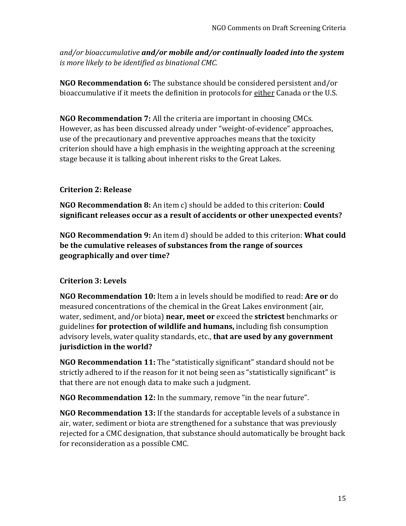*and/or bioaccumulative and/or mobile and/or continually loaded into the system is more likely to be identified as binational CMC.* 

**NGO Recommendation 6:** The substance should be considered persistent and/or bioaccumulative if it meets the definition in protocols for either Canada or the U.S.

**NGO Recommendation 7:** All the criteria are important in choosing CMCs. However, as has been discussed already under "weight-of-evidence" approaches, use of the precautionary and preventive approaches means that the toxicity criterion should have a high emphasis in the weighting approach at the screening stage because it is talking about inherent risks to the Great Lakes.

# **Criterion 2: Release**

**NGO Recommendation 8:** An item c) should be added to this criterion: **Could significant releases occur as a result of accidents or other unexpected events?**

**NGO Recommendation 9:** An item d) should be added to this criterion: **What could be the cumulative releases of substances from the range of sources geographically and over time?**

# **Criterion 3: Levels**

**NGO Recommendation 10:** Item a in levels should be modified to read: **Are or** do measured concentrations of the chemical in the Great Lakes environment (air, water, sediment, and/or biota) **near, meet or** exceed the **strictest** benchmarks or guidelines **for protection of wildlife and humans,** including fish consumption advisory levels, water quality standards, etc., **that are used by any government jurisdiction in the world?** 

**NGO Recommendation 11:** The "statistically significant" standard should not be strictly adhered to if the reason for it not being seen as "statistically significant" is that there are not enough data to make such a judgment.

**NGO Recommendation 12:** In the summary, remove "in the near future".

**NGO Recommendation 13:** If the standards for acceptable levels of a substance in air, water, sediment or biota are strengthened for a substance that was previously rejected for a CMC designation, that substance should automatically be brought back for reconsideration as a possible CMC.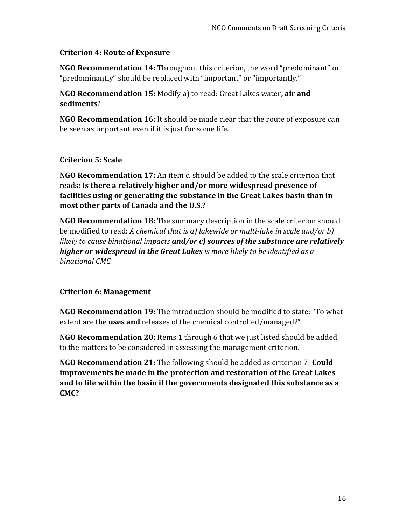## **Criterion 4: Route of Exposure**

**NGO Recommendation 14:** Throughout this criterion, the word "predominant" or "predominantly" should be replaced with "important" or "importantly."

**NGO Recommendation 15:** Modify a) to read: Great Lakes water**, air and sediments**?

**NGO Recommendation 16:** It should be made clear that the route of exposure can be seen as important even if it is just for some life.

## **Criterion 5: Scale**

**NGO Recommendation 17:** An item c. should be added to the scale criterion that reads: **Is there a relatively higher and/or more widespread presence of facilities using or generating the substance in the Great Lakes basin than in most other parts of Canada and the U.S.?**

**NGO Recommendation 18:** The summary description in the scale criterion should be modified to read: *A chemical that is a) lakewide or multi-lake in scale and/or b) likely to cause binational impacts and/or c) sources of the substance are relatively higher or widespread in the Great Lakes is more likely to be identified as a binational CMC.*

## **Criterion 6: Management**

**NGO Recommendation 19:** The introduction should be modified to state: "To what extent are the **uses and** releases of the chemical controlled/managed?"

**NGO Recommendation 20:** Items 1 through 6 that we just listed should be added to the matters to be considered in assessing the management criterion.

**NGO Recommendation 21:** The following should be added as criterion 7: **Could improvements be made in the protection and restoration of the Great Lakes and to life within the basin if the governments designated this substance as a CMC?**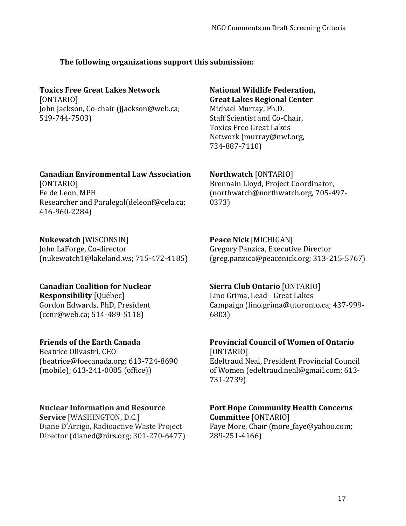## **The following organizations support this submission:**

# **Toxics Free Great Lakes Network**

[ONTARIO] John Jackson, Co-chair (jjackson@web.ca; 519-744-7503)

#### **Canadian Environmental Law Association**

[ONTARIO] Fe de Leon, MPH Researcher and Paralegal(deleonf@cela.ca; 416-960-2284)

## **Nukewatch** [WISCONSIN]

John LaForge, Co-director [\(nukewatch1@lakeland.ws;](mailto:nukewatch1@lakeland.ws) 715-472-4185)

#### **Great Lakes Regional Center**  Michael Murray, Ph.D. Staff Scientist and Co-Chair,

**National Wildlife Federation,** 

Toxics Free Great Lakes Network (murray@nwf.org, 734-887-7110)

**Northwatch** [ONTARIO] Brennain Lloyd, Project Coordinator, (northwatch@northwatch.org, 705-497- 0373)

#### **Peace Nick** [MICHIGAN] Gregory Panzica, Executive Director [\(greg.panzica@peacenick.org;](mailto:greg.panzica@peacenick.org) 313-215-5767)

# **Canadian Coalition for Nuclear**

**Responsibility** [Québec] Gordon Edwards, PhD, President (ccnr@web.ca; 514-489-5118)

## **Friends of the Earth Canada**

Beatrice Olivastri, CEO (beatrice@foecanada.org; 613-724-8690 (mobile); 613-241-0085 (office))

## **Nuclear Information and Resource**

**Service** [WASHINGTON, D.C.] Diane D'Arrigo, Radioactive Waste Project Director [\(dianed@nirs.org;](mailto:dianed@nirs.org) 301-270-6477) **Sierra Club Ontario** [ONTARIO] Lino Grima, Lead - Great Lakes Campaign (lino.grima@utoronto.ca; 437-999- 6803)

#### **Provincial Council of Women of Ontario**  [ONTARIO]

Edeltraud Neal, President Provincial Council of Women [\(edeltraud.neal@gmail.com;](mailto:edeltraud.nea@gmail.com) 613- 731-2739)

#### **Port Hope Community Health Concerns Committee** [ONTARIO]

Faye More, Chair (more\_faye@yahoo.com; 289-251-4166)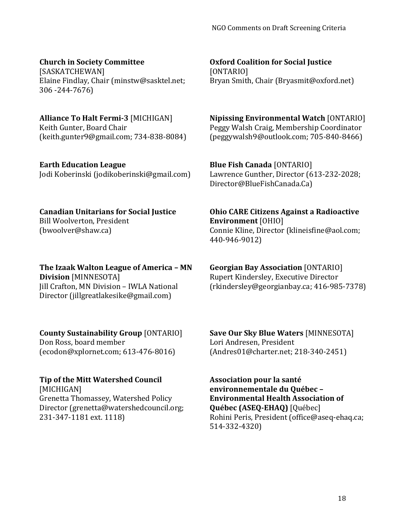# **Church in Society Committee**

[SASKATCHEWAN] Elaine Findlay, Chair [\(minstw@sasktel.net;](mailto:minstw@sasktel.net) 306 -244-7676)

# **Alliance To Halt Fermi-3** [MICHIGAN]

Keith Gunter, Board Chair [\(keith.gunter9@gmail.com;](mailto:keith.gunter9@gmail.com) 734-838-8084)

# **Earth Education League**

Jodi Koberinski (jodikoberinski@gmail.com)

# **Canadian Unitarians for Social Justice**

Bill Woolverton, President [\(bwoolver@shaw.ca\)](mailto:bwoolver@shaw.ca)

**The Izaak Walton League of America – MN Division** [MINNESOTA] Jill Crafton, MN Division – IWLA National Director (jillgreatlakesike@gmail.com)

# **County Sustainability Group** [ONTARIO]

Don Ross, board member [\(ecodon@xplornet.com;](mailto:ecodon@xplornet.com) 613-476-8016)

# **Tip of the Mitt Watershed Council**

[MICHIGAN] Grenetta Thomassey, Watershed Policy Director [\(grenetta@watershedcouncil.org;](mailto:grenetta@watershedcouncil.org) 231-347-1181 ext. 1118)

**Oxford Coalition for Social Justice** [ONTARIO] Bryan Smith, Chair [\(Bryasmit@oxford.net\)](mailto:Bryasmit@oxford.net)

**Nipissing Environmental Watch** [ONTARIO] Peggy Walsh Craig, Membership Coordinator [\(peggywalsh9@outlook.com;](mailto:peggywalsh9@outlook.com) 705-840-8466)

**Blue Fish Canada** [ONTARIO] Lawrence Gunther, Director (613-232-2028; [Director@BlueFishCanada.Ca\)](mailto:Director@BlueFishCanada.Ca)

**Ohio CARE Citizens Against a Radioactive Environment** [OHIO] Connie Kline, Director [\(klineisfine@aol.com;](mailto:klineisfine@aol.com) 440-946-9012)

**Georgian Bay Association** [ONTARIO] Rupert Kindersley, Executive Director [\(rkindersley@georgianbay.ca;](mailto:rkindersley@georgianbay.ca) 416-985-7378)

**Save Our Sky Blue Waters** [MINNESOTA] Lori Andresen, President [\(Andres01@charter.net;](mailto:Andres01@charter.net) 218-340-2451)

**Association pour la santé environnementale du Québec – Environmental Health Association of Québec (ASEQ-EHAQ)** [Québec] Rohini Peris, President [\(office@aseq-ehaq.ca;](mailto:office@aseq-ehaq.ca) 514-332-4320)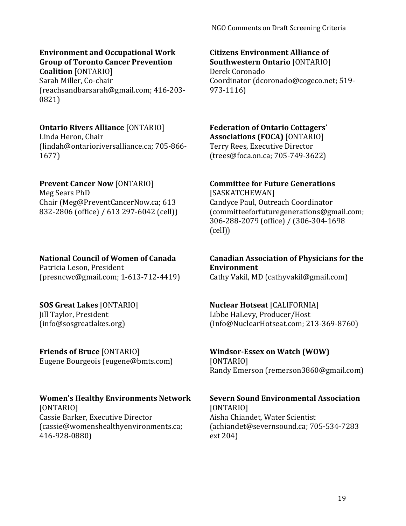# **Environment and Occupational Work Group of Toronto Cancer Prevention**

**Coalition** [ONTARIO] Sarah Miller, Co-chair [\(reachsandbarsarah@gmail.com;](mailto:reachsandbarsarah@gmail.com) 416-203- 0821)

#### **Ontario Rivers Alliance** [ONTARIO] Linda Heron, Chair

[\(lindah@ontarioriversalliance.ca;](mailto:lindah@ontarioriversalliance.ca) 705-866- 1677)

# **Prevent Cancer Now** [ONTARIO]

Meg Sears PhD Chair (Meg@PreventCancerNow.ca; 613 832-2806 (office) / 613 297-6042 (cell))

# **National Council of Women of Canada**

Patricia Leson, President (presncwc@gmail.com; 1-613-712-4419)

# **SOS Great Lakes** [ONTARIO]

Jill Taylor, President (info@sosgreatlakes.org)

#### **Friends of Bruce** [ONTARIO] Eugene Bourgeois (eugene@bmts.com)

# **Women's Healthy Environments Network**

[ONTARIO] Cassie Barker, Executive Director (cassie@womenshealthyenvironments.ca; 416-928-0880)

#### **Citizens Environment Alliance of Southwestern Ontario** [ONTARIO]

Derek Coronado Coordinator (dcoronado@cogeco.net; 519- 973-1116)

#### **Federation of Ontario Cottagers' Associations (FOCA)** [ONTARIO] Terry Rees, Executive Director

[\(trees@foca.on.ca;](mailto:trees@foca.on.ca) 705-749-3622)

# **Committee for Future Generations**

[SASKATCHEWAN] Candyce Paul, Outreach Coordinator [\(committeeforfuturegenerations@gmail.com;](mailto:committeeforfuturegenerations@gmail.com) 306-288-2079 (office) / (306-304-1698 (cell))

#### **Canadian Association of Physicians for the Environment**

Cathy Vakil, MD (cathyvakil@gmail.com)

## **Nuclear Hotseat** [CALIFORNIA]

Libbe HaLevy, Producer/Host (Info@NuclearHotseat.com; 213-369-8760)

# **Windsor-Essex on Watch (WOW)** [ONTARIO]

Randy Emerson (remerson3860@gmail.com)

#### **Severn Sound Environmental Association**  [ONTARIO] Aisha Chiandet, Water Scientist (achiandet@severnsound.ca; 705-534-7283 ext 204)